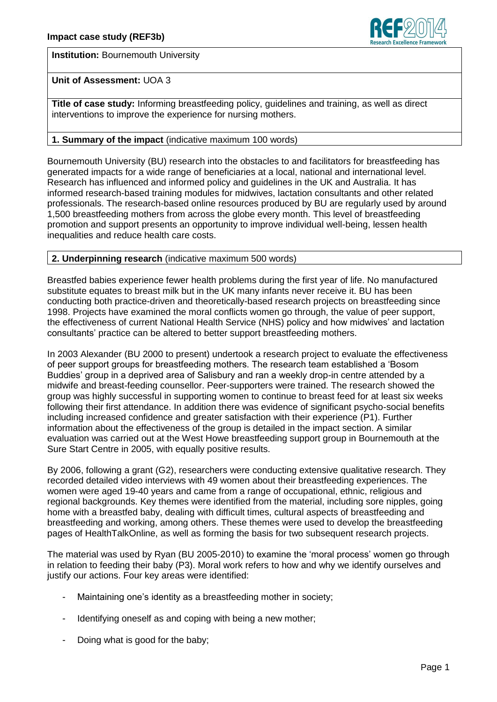

**Institution: Bournemouth University** 

# **Unit of Assessment:** UOA 3

**Title of case study:** Informing breastfeeding policy, guidelines and training, as well as direct interventions to improve the experience for nursing mothers.

# **1. Summary of the impact** (indicative maximum 100 words)

Bournemouth University (BU) research into the obstacles to and facilitators for breastfeeding has generated impacts for a wide range of beneficiaries at a local, national and international level. Research has influenced and informed policy and guidelines in the UK and Australia. It has informed research-based training modules for midwives, lactation consultants and other related professionals. The research-based online resources produced by BU are regularly used by around 1,500 breastfeeding mothers from across the globe every month. This level of breastfeeding promotion and support presents an opportunity to improve individual well-being, lessen health inequalities and reduce health care costs.

# **2. Underpinning research** (indicative maximum 500 words)

Breastfed babies experience fewer health problems during the first year of life. No manufactured substitute equates to breast milk but in the UK many infants never receive it. BU has been conducting both practice-driven and theoretically-based research projects on breastfeeding since 1998. Projects have examined the moral conflicts women go through, the value of peer support, the effectiveness of current National Health Service (NHS) policy and how midwives' and lactation consultants' practice can be altered to better support breastfeeding mothers.

In 2003 Alexander (BU 2000 to present) undertook a research project to evaluate the effectiveness of peer support groups for breastfeeding mothers. The research team established a 'Bosom Buddies' group in a deprived area of Salisbury and ran a weekly drop-in centre attended by a midwife and breast-feeding counsellor. Peer-supporters were trained. The research showed the group was highly successful in supporting women to continue to breast feed for at least six weeks following their first attendance. In addition there was evidence of significant psycho-social benefits including increased confidence and greater satisfaction with their experience (P1). Further information about the effectiveness of the group is detailed in the impact section. A similar evaluation was carried out at the West Howe breastfeeding support group in Bournemouth at the Sure Start Centre in 2005, with equally positive results.

By 2006, following a grant (G2), researchers were conducting extensive qualitative research. They recorded detailed video interviews with 49 women about their breastfeeding experiences. The women were aged 19-40 years and came from a range of occupational, ethnic, religious and regional backgrounds. Key themes were identified from the material, including sore nipples, going home with a breastfed baby, dealing with difficult times, cultural aspects of breastfeeding and breastfeeding and working, among others. These themes were used to develop the breastfeeding pages of HealthTalkOnline, as well as forming the basis for two subsequent research projects.

The material was used by Ryan (BU 2005-2010) to examine the 'moral process' women go through in relation to feeding their baby (P3). Moral work refers to how and why we identify ourselves and justify our actions. Four key areas were identified:

- Maintaining one's identity as a breastfeeding mother in society;
- Identifying oneself as and coping with being a new mother;
- Doing what is good for the baby;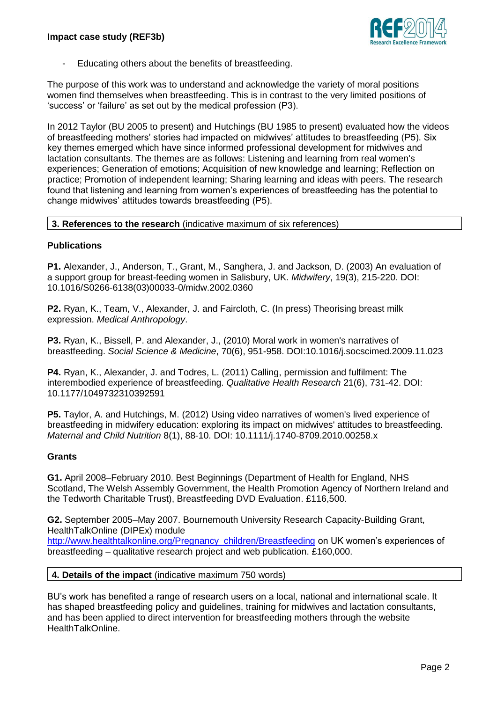

Educating others about the benefits of breastfeeding.

The purpose of this work was to understand and acknowledge the variety of moral positions women find themselves when breastfeeding. This is in contrast to the very limited positions of 'success' or 'failure' as set out by the medical profession (P3).

In 2012 Taylor (BU 2005 to present) and Hutchings (BU 1985 to present) evaluated how the videos of breastfeeding mothers' stories had impacted on midwives' attitudes to breastfeeding (P5). Six key themes emerged which have since informed professional development for midwives and lactation consultants. The themes are as follows: Listening and learning from real women's experiences; Generation of emotions; Acquisition of new knowledge and learning; Reflection on practice; Promotion of independent learning; Sharing learning and ideas with peers. The research found that listening and learning from women's experiences of breastfeeding has the potential to change midwives' attitudes towards breastfeeding (P5).

#### **3. References to the research** (indicative maximum of six references)

#### **Publications**

**P1.** Alexander, J., Anderson, T., Grant, M., Sanghera, J. and Jackson, D. (2003) [An evaluation of](http://eprints.bournemouth.ac.uk/1227/)  [a support group for breast-feeding women in Salisbury, UK.](http://eprints.bournemouth.ac.uk/1227/) *Midwifery*, 19(3), 215-220. DOI: 10.1016/S0266-6138(03)00033-0/midw.2002.0360

**P2.** Ryan, K., Team, V., Alexander, J. and Faircloth, C. (In press) Theorising breast milk expression. *Medical Anthropology*.

**P3.** Ryan, K., Bissell, P. and Alexander, J., (2010) Moral work in women's narratives of breastfeeding. *Social Science & Medicine*, 70(6), 951-958. DOI:10.1016/j.socscimed.2009.11.023

**P4.** Ryan, K., Alexander, J. and Todres, L. (2011) Calling, permission and fulfilment: The interembodied experience of breastfeeding. *Qualitative Health Research* 21(6), 731-42. DOI: 10.1177/1049732310392591

**P5.** Taylor, A. and Hutchings, M. (2012) Using video narratives of women's lived experience of breastfeeding in midwifery education: exploring its impact on midwives' attitudes to breastfeeding. *Maternal and Child Nutrition* 8(1), 88-10. DOI: 10.1111/j.1740-8709.2010.00258.x

#### **Grants**

**G1.** April 2008–February 2010. Best Beginnings (Department of Health for England, NHS Scotland, The Welsh Assembly Government, the Health Promotion Agency of Northern Ireland and the Tedworth Charitable Trust), Breastfeeding DVD Evaluation. £116,500.

**G2.** September 2005–May 2007. Bournemouth University Research Capacity-Building Grant, HealthTalkOnline (DIPEx) module

[http://www.healthtalkonline.org/Pregnancy\\_children/Breastfeeding](http://www.healthtalkonline.org/Pregnancy_children/Breastfeeding) on UK women's experiences of breastfeeding – qualitative research project and web publication. £160,000.

#### **4. Details of the impact** (indicative maximum 750 words)

BU's work has benefited a range of research users on a local, national and international scale. It has shaped breastfeeding policy and guidelines, training for midwives and lactation consultants, and has been applied to direct intervention for breastfeeding mothers through the website HealthTalkOnline.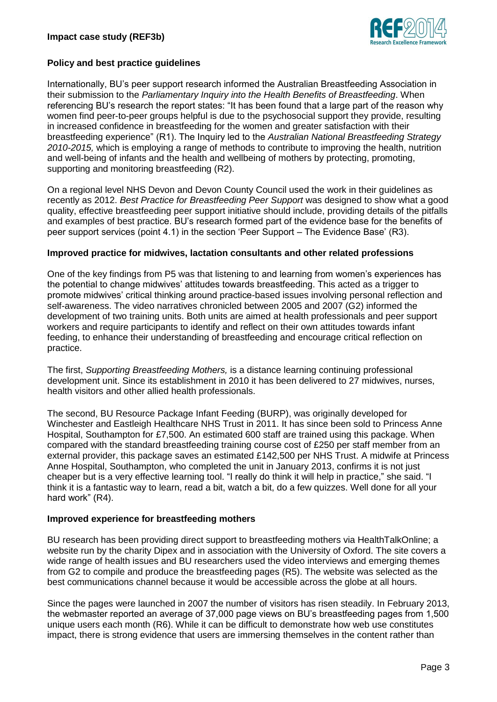

# **Policy and best practice guidelines**

Internationally, BU's peer support research informed the Australian Breastfeeding Association in their submission to the *Parliamentary Inquiry into the Health Benefits of Breastfeeding*. When referencing BU's research the report states: "It has been found that a large part of the reason why women find peer-to-peer groups helpful is due to the psychosocial support they provide, resulting in increased confidence in breastfeeding for the women and greater satisfaction with their breastfeeding experience" (R1). The Inquiry led to the *Australian National Breastfeeding Strategy 2010-2015,* which is employing a range of methods to contribute to improving the health, nutrition and well-being of infants and the health and wellbeing of mothers by protecting, promoting, supporting and monitoring breastfeeding (R2).

On a regional level NHS Devon and Devon County Council used the work in their guidelines as recently as 2012. *Best Practice for Breastfeeding Peer Support* was designed to show what a good quality, effective breastfeeding peer support initiative should include, providing details of the pitfalls and examples of best practice. BU's research formed part of the evidence base for the benefits of peer support services (point 4.1) in the section 'Peer Support – The Evidence Base' (R3).

#### **Improved practice for midwives, lactation consultants and other related professions**

One of the key findings from P5 was that listening to and learning from women's experiences has the potential to change midwives' attitudes towards breastfeeding. This acted as a trigger to promote midwives' critical thinking around practice-based issues involving personal reflection and self-awareness. The video narratives chronicled between 2005 and 2007 (G2) informed the development of two training units. Both units are aimed at health professionals and peer support workers and require participants to identify and reflect on their own attitudes towards infant feeding, to enhance their understanding of breastfeeding and encourage critical reflection on practice.

The first, *Supporting Breastfeeding Mothers,* is a distance learning continuing professional development unit. Since its establishment in 2010 it has been delivered to 27 midwives, nurses, health visitors and other allied health professionals.

The second, BU Resource Package Infant Feeding (BURP), was originally developed for Winchester and Eastleigh Healthcare NHS Trust in 2011. It has since been sold to Princess Anne Hospital, Southampton for £7,500. An estimated 600 staff are trained using this package. When compared with the standard breastfeeding training course cost of £250 per staff member from an external provider, this package saves an estimated £142,500 per NHS Trust. A midwife at Princess Anne Hospital, Southampton, who completed the unit in January 2013, confirms it is not just cheaper but is a very effective learning tool. "I really do think it will help in practice," she said. "I think it is a fantastic way to learn, read a bit, watch a bit, do a few quizzes. Well done for all your hard work" (R4).

# **Improved experience for breastfeeding mothers**

BU research has been providing direct support to breastfeeding mothers via HealthTalkOnline; a website run by the charity Dipex and in association with the University of Oxford. The site covers a wide range of health issues and BU researchers used the video interviews and emerging themes from G2 to compile and produce the breastfeeding pages (R5). The website was selected as the best communications channel because it would be accessible across the globe at all hours.

Since the pages were launched in 2007 the number of visitors has risen steadily. In February 2013, the webmaster reported an average of 37,000 page views on BU's breastfeeding pages from 1,500 unique users each month (R6). While it can be difficult to demonstrate how web use constitutes impact, there is strong evidence that users are immersing themselves in the content rather than